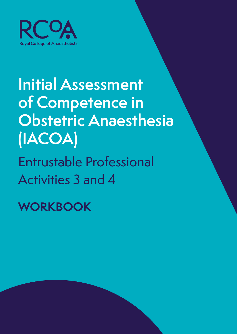

# **Initial Assessment of Competence in Obstetric Anaesthesia (IACOA)**

Entrustable Professional Activities 3 and 4

**WORKBOOK**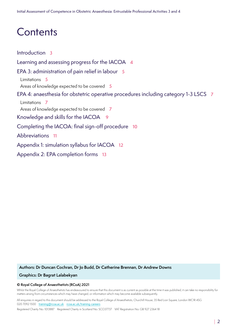### **Contents**

[Introduction](#page-2-0) **3** [Learning and assessing progress for the IACOA](#page-3-0) **4** [EPA 3: administration of pain relief in labour](#page-4-0) **5** [Limitations](#page-4-0) **5** [Areas of knowledge expected to be covered](#page-4-0) **5** [EPA 4: anaesthesia for obstetric operative procedures including category 1-3 LSCS](#page-6-0) **7** [Limitations](#page-6-0) **7** [Areas of knowledge expected to be covered](#page-6-0) **7** [Knowledge and skills for the IACOA](#page-8-0) **9** [Completing the IACOA: final sign-off procedure](#page-9-0) **10** [Abbreviations](#page-10-0) **11** [Appendix 1: simulation syllabus for IACOA](#page-11-0) **12** [Appendix 2: EPA completion forms](#page-12-0) **13**

**Authors: Dr Duncan Cochran, Dr Jo Budd, Dr Catherine Brennan, Dr Andrew Downs**

#### **Graphics: Dr Bagrat Lalabekyan**

#### **© Royal College of Anaesthetists (RCoA) 2021**

Whilst the Royal College of Anaesthetists has endeavoured to ensure that this document is as current as possible at the time it was published, it can take no responsibility for matters arising from circumstances which may have changed, or information which may become available subsequently.

All enquiries in regard to this document should be addressed to the Royal College of Anaesthetists, Churchill House, 35 Red Lion Square, London WC1R 4SG 020 7092 1500 training@rcoa.ac.uk [rcoa.ac.uk/training-careers](https://www.rcoa.ac.uk/training-careers)

Registered Charity No: 1013887 Registered Charity in Scotland No: SCO37737 VAT Registration No: GB 927 2364 18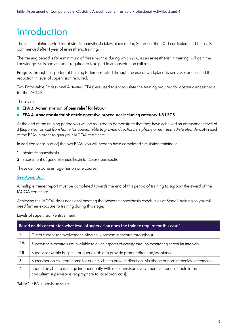### <span id="page-2-0"></span>Introduction

The initial training period for obstetric anaesthesia takes place during Stage 1 of the 2021 curriculum and is usually commenced after 1 year of anaesthetic training.

The training period is for a minimum of three months during which you, as an anaesthetist in training, will gain the knowledge, skills and attitudes required to take part in an obstetric on call rota.

Progress through this period of training is demonstrated through the use of workplace-based assessments and the reduction in level of supervision required.

Two Entrustable Professional Activities (EPAs) are used to encapsulate the training required for obstetric anaesthesia for the IACOA.

These are:

- **EPA 3: Administration of pain relief for labour**
- **EPA 4:** Anaesthesia for obstetric operative procedures including category 1-3 LSCS

At the end of the training period you will be required to demonstrate that they have achieved an entrustment level of 3 (*Supervisor on call from home for queries, able to provide directions via phone or non-immediate attendance*) in each of the EPAs in order to gain your IACOA certificate.

In addition (or as part of) the two EPAs, you will need to have completed simulation training in:

- **1** obstetric anaesthesia
- **2** assessment of general anaesthesia for Caesarean section

These can be done as together on one course.

#### [See Appendix 1](#page-11-1)

A multiple trainer report must be completed towards the end of this period of training to support the award of the IACOA certificate.

Achieving the IACOA does not signal meeting the obstetric anaesthesia capabilities of Stage 1 training so you will need further exposure to training during this stage.

Levels of supervision/entrustment:

| Based on this encounter, what level of supervision does the trainee require for this case? |                                                                                                                                                            |  |  |
|--------------------------------------------------------------------------------------------|------------------------------------------------------------------------------------------------------------------------------------------------------------|--|--|
|                                                                                            | Direct supervisor involvement, physically present in theatre throughout.                                                                                   |  |  |
| 2A                                                                                         | Supervisor in theatre suite, available to quide aspects of activity through monitoring at reqular intervals.                                               |  |  |
| 2B                                                                                         | Supervisor within hospital for queries, able to provide prompt direction/assistance.                                                                       |  |  |
|                                                                                            | Supervisor on call from home for queries able to provide directions via phone or non-immediate attendance.                                                 |  |  |
|                                                                                            | Should be able to manage independently with no supervisor involvement (although should inform<br>consultant supervisor as appropriate to local protocols). |  |  |

**Table 1:** EPA supervision scale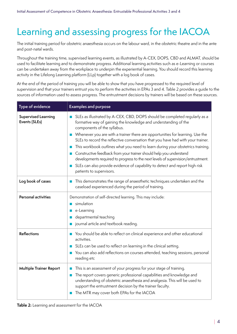### <span id="page-3-0"></span>Learning and assessing progress for the IACOA

The initial training period for obstetric anaesthesia occurs on the labour ward, in the obstetric theatre and in the ante and post-natal wards.

Throughout the training time, supervised learning events, as illustrated by A-CEX, DOPS, CBD and ALMAT, should be used to facilitate learning and to demonstrate progress. Additional learning activities such as e-Learning or courses can be undertaken away from the workplace to underpin the experiential learning. You should record this learning activity in the Lifelong Learning platform (LLp) together with a log book of cases.

At the end of the period of training you will be able to show that you have progressed to the required level of supervision and that your trainers entrust you to perform the activities in EPAs 3 and 4. Table 2 provides a guide to the sources of information used to assess progress. The entrustment decisions by trainers will be based on these sources.

| Type of evidence                            | <b>Examples and purpose</b>                                                                                                                                                                                                                                                                                                                                                                                                                                                                                                                                                                                                                                                                                                                        |
|---------------------------------------------|----------------------------------------------------------------------------------------------------------------------------------------------------------------------------------------------------------------------------------------------------------------------------------------------------------------------------------------------------------------------------------------------------------------------------------------------------------------------------------------------------------------------------------------------------------------------------------------------------------------------------------------------------------------------------------------------------------------------------------------------------|
| <b>Supervised Learning</b><br>Events (SLEs) | SLEs as illustrated by A-CEX, CBD, DOPS should be completed reqularly as a<br>ш<br>formative way of gaining the knowledge and understanding of the<br>components of the syllabus.<br>Whenever you are with a trainer there are opportunities for learning. Use the<br>$\mathcal{L}_{\rm{max}}$<br>SLEs to record the reflective conversation that you have had with your trainer.<br>This workbook outlines what you need to learn during your obstetrics training.<br>П<br>Constructive feedback from your trainer should help you understand<br>П<br>developments required to progress to the next levels of supervision/entrustment.<br>SLEs can also provide evidence of capability to detect and report high risk<br>patients to supervisors. |
| Log book of cases                           | This demonstrates the range of anaesthetic techniques undertaken and the<br>caseload experienced during the period of training.                                                                                                                                                                                                                                                                                                                                                                                                                                                                                                                                                                                                                    |
| Personal activities                         | Demonstration of self-directed learning. This may include:<br>simulation<br>ш<br>e-Learning<br>departmental teaching<br>journal article and textbook reading.                                                                                                                                                                                                                                                                                                                                                                                                                                                                                                                                                                                      |
| <b>Reflections</b>                          | You should be able to reflect on clinical experience and other educational<br>activities.<br>SLEs can be used to reflect on learning in the clinical setting.<br>You can also add reflections on courses attended, teaching sessions, personal<br>reading etc                                                                                                                                                                                                                                                                                                                                                                                                                                                                                      |
| <b>Multiple Trainer Report</b>              | This is an assessment of your progress for your stage of training.<br>п<br>The report covers generic professional capabilities and knowledge and<br>F.<br>understanding of obstetric anaesthesia and analgesia. This will be used to<br>support the entrustment decision by the trainer faculty.<br>The MTR may cover both EPAs for the IACOA                                                                                                                                                                                                                                                                                                                                                                                                      |

**Table 2:** Learning and assessment for the IACOA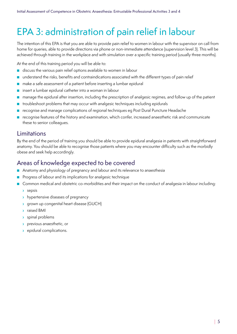## <span id="page-4-0"></span>EPA 3: administration of pain relief in labour

The intention of this EPA is that you are able to provide pain relief to women in labour with the supervisor on call from home for queries, able to provide directions via phone or non-immediate attendance (supervision level 3). This will be achieved through training in the workplace and with simulation over a specific training period (usually three months).

At the end of this training period you will be able to:

- discuss the various pain relief options available to women in labour
- understand the risks, benefits and contraindications associated with the different types of pain relief
- make a safe assessment of a patient before inserting a lumbar epidural
- insert a lumbar epidural catheter into a woman in labour
- manage the epidural after insertion, including the prescription of analgesic regimes, and follow up of the patient
- troubleshoot problems that may occur with analgesic techniques including epidurals
- recognise and manage complications of regional techniques eg Post Dural Puncture Headache
- recognise features of the history and examination, which confer, increased anaesthetic risk and communicate these to senior colleagues.

#### Limitations

By the end of the period of training you should be able to provide epidural analgesia in patients with straightforward anatomy. You should be able to recognise those patients where you may encounter difficulty such as the morbidly obese and seek help accordingly.

#### Areas of knowledge expected to be covered

- Anatomy and physiology of pregnancy and labour and its relevance to anaesthesia
- Progress of labour and its implications for analgesic technique
- Common medical and obstetric co-morbidities and their impact on the conduct of analgesia in labour including:
	- › sepsis
	- > hypertensive diseases of pregnancy
	- › grown up congenital heart disease (GUCH)
	- › raised BMI
	- › spinal problems
	- › previous anaesthetic, or
	- › epidural complications.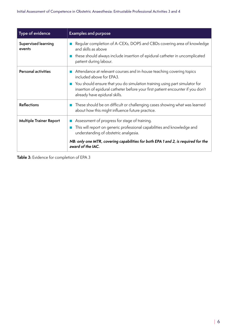| Type of evidence               | <b>Examples and purpose</b>                                                                                                                                                                                                                                                                        |
|--------------------------------|----------------------------------------------------------------------------------------------------------------------------------------------------------------------------------------------------------------------------------------------------------------------------------------------------|
| Supervised learning<br>events  | Regular completion of A-CEXs, DOPS and CBDs covering area of knowledge<br>and skills as above<br>these should always include insertion of epidural catheter in uncomplicated<br><b>College</b><br>patient during labour.                                                                           |
| <b>Personal activities</b>     | Attendance at relevant courses and in-house teaching covering topics<br>included above for EPA3.<br>You should ensure that you do simulation training using part simulator for<br>insertion of epidural catheter before your first patient encounter if you don't<br>already have epidural skills. |
| <b>Reflections</b>             | These should be on difficult or challenging cases showing what was learned<br>about how this might influence future practice.                                                                                                                                                                      |
| <b>Multiple Trainer Report</b> | Assessment of progress for stage of training.<br>This will report on generic professional capabilities and knowledge and<br>understanding of obstetric analgesia.<br>NB: only one MTR, covering capabilities for both EPA 1 and 2, is required for the<br>award of the IAC.                        |

**Table 3:** Evidence for completion of EPA 3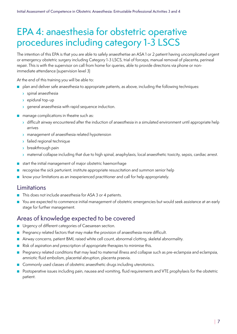### <span id="page-6-0"></span>EPA 4: anaesthesia for obstetric operative procedures including category 1-3 LSCS

The intention of this EPA is that you are able to safely anaesthetise an ASA 1 or 2 patient having uncomplicated urgent or emergency obstetric surgery including Category 1-3 LSCS, trial of forceps, manual removal of placenta, perineal repair. This is with the supervisor on call from home for queries, able to provide directions via phone or nonimmediate attendance (supervision level 3)

At the end of this training you will be able to:

- plan and deliver safe anaesthesia to appropriate patients, as above, including the following techniques:
	- › spinal anaesthesia
	- › epidural top-up
	- **I** general anaesthesia with rapid sequence induction.
- manage complications in theatre such as:
	- › difficult airway encountered after the induction of anaesthesia in a simulated environment until appropriate help arrives
	- › management of anaesthesia related hypotension
	- › failed regional technique
	- › breakthrough pain
	- › maternal collapse including that due to high spinal, anaphylaxis, local anaesthetic toxicity, sepsis, cardiac arrest.
- start the initial management of major obstetric haemorrhage
- recognise the sick parturient, institute appropriate resuscitation and summon senior help
- know your limitations as an inexperienced practitioner and call for help appropriately.

#### Limitations

- This does not include anaesthesia for ASA 3 or 4 patients.
- You are expected to commence initial management of obstetric emergencies but would seek assistance at an early stage for further management.

#### Areas of knowledge expected to be covered

- Urgency of different categories of Caesarean section.
- Pregnancy related factors that may make the provision of anaesthesia more difficult.
- Airway concerns, patient BMI, raised white cell count, abnormal clotting, skeletal abnormality.
- Risk of aspiration and prescription of appropriate therapies to minimise this.
- Pregnancy related conditions that may lead to maternal illness and collapse such as pre-eclampsia and eclampsia, amniotic fluid embolism, placental abruption, placenta praevia.
- Commonly used classes of obstetric anaesthetic drugs including uterotonics.
- Postoperative issues including pain, nausea and vomiting, fluid requirements and VTE prophylaxis for the obstetric patient.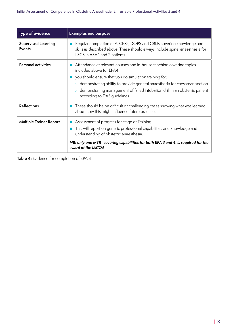| Type of evidence                            | <b>Examples and purpose</b>                                                                                                                                                                                                                                                                                                                                 |
|---------------------------------------------|-------------------------------------------------------------------------------------------------------------------------------------------------------------------------------------------------------------------------------------------------------------------------------------------------------------------------------------------------------------|
| <b>Supervised Learning</b><br><b>Events</b> | Regular completion of A-CEXs, DOPS and CBDs covering knowledge and<br>skills as described above. These should always include spinal anaesthesia for<br>LSCS in ASA 1 and 2 patients.                                                                                                                                                                        |
| <b>Personal activities</b>                  | Attendance at relevant courses and in-house teaching covering topics<br>included above for EPA4.<br>you should ensure that you do simulation training for:<br>> demonstrating ability to provide general anaesthesia for caesarean section<br>> demonstrating management of failed intubation drill in an obstetric patient<br>according to DAS quidelines. |
| <b>Reflections</b>                          | These should be on difficult or challenging cases showing what was learned<br>about how this might influence future practice.                                                                                                                                                                                                                               |
| <b>Multiple Trainer Report</b>              | Assessment of progress for stage of Training.<br>This will report on generic professional capabilities and knowledge and<br>understanding of obstetric anaesthesia.<br>NB: only one MTR, covering capabilities for both EPA 3 and 4, is required for the<br>award of the IACOA.                                                                             |

**Table 4:** Evidence for completion of EPA 4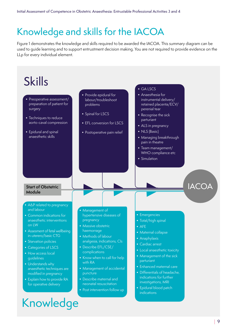# <span id="page-8-0"></span>Knowledge and skills for the IACOA

Figure 1 demonstrates the knowledge and skills required to be awarded the IACOA. This summary diagram can be used to guide learning and to support entrustment decision making. You are not required to provide evidence on the LLp for every individual element.

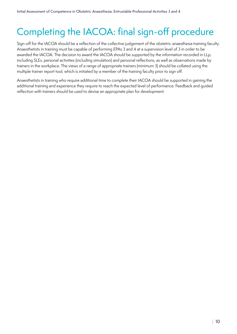# <span id="page-9-0"></span>Completing the IACOA: final sign-off procedure

Sign-off for the IACOA should be a reflection of the collective judgement of the obstetric anaesthesia training faculty. Anaesthetists in training must be capable of performing EPAs 3 and 4 at a supervision level of 3 in order to be awarded the IACOA. The decision to award the IACOA should be supported by the information recorded in LLp, including SLEs, personal activities (including simulation) and personal reflections, as well as observations made by trainers in the workplace. The views of a range of appropriate trainers (minimum 3) should be collated using the multiple trainer report tool, which is initiated by a member of the training faculty prior to sign off.

Anaesthetists in training who require additional time to complete their IACOA should be supported in gaining the additional training and experience they require to reach the expected level of performance. Feedback and guided reflection with trainers should be used to devise an appropriate plan for development.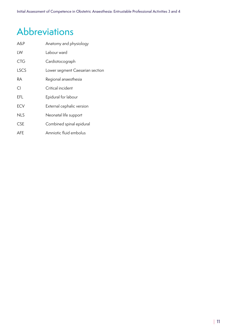## <span id="page-10-0"></span>Abbreviations

| A&P         | Anatomy and physiology          |
|-------------|---------------------------------|
| LW          | Labour ward                     |
| <b>CTG</b>  | Cardiotocograph                 |
| <b>LSCS</b> | Lower segment Caesarian section |
| RА          | Regional anaesthesia            |
| CI.         | Critical incident               |
| EFL         | Epidural for labour             |
| <b>ECV</b>  | External cephalic version       |
| <b>NLS</b>  | Neonatal life support           |
| <b>CSE</b>  | Combined spinal epidural        |
| AFE         | Amniotic fluid embolus          |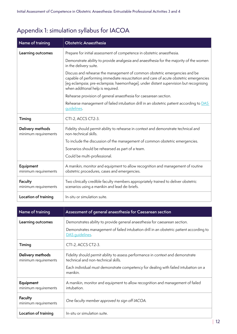| Name of training                         | <b>Obstetric Anaesthesia</b>                                                                                                                                                                                                                                                                      |
|------------------------------------------|---------------------------------------------------------------------------------------------------------------------------------------------------------------------------------------------------------------------------------------------------------------------------------------------------|
| Learning outcomes                        | Prepare for initial assessment of competence in obstetric anaesthesia.                                                                                                                                                                                                                            |
|                                          | Demonstrate ability to provide analgesia and anaesthesia for the majority of the women<br>in the delivery suite.                                                                                                                                                                                  |
|                                          | Discuss and rehearse the management of common obstetric emergencies and be<br>capable of performing immediate resuscitation and care of acute obstetric emergencies<br>[eg eclampsia; pre-eclampsia; haemorrhage], under distant supervision but recognising<br>when additional help is required. |
|                                          | Rehearse provision of general anaesthesia for caesarean section.                                                                                                                                                                                                                                  |
|                                          | Rehearse management of failed intubation drill in an obstetric patient according to DAS<br>quidelines.                                                                                                                                                                                            |
| Timing                                   | CT1-2, ACCS CT2-3.                                                                                                                                                                                                                                                                                |
| Delivery methods<br>minimum requirements | Fidelity should permit ability to rehearse in context and demonstrate technical and<br>non-technical skills.                                                                                                                                                                                      |
|                                          | To include the discussion of the management of common obstetric emergencies.                                                                                                                                                                                                                      |
|                                          | Scenarios should be rehearsed as part of a team.                                                                                                                                                                                                                                                  |
|                                          | Could be multi-professional.                                                                                                                                                                                                                                                                      |
| Equipment<br>minimum requirements        | A manikin, monitor and equipment to allow recognition and management of routine<br>obstetric procedures, cases and emergencies.                                                                                                                                                                   |
| <b>Faculty</b><br>minimum requirements   | Two clinically credible faculty members appropriately trained to deliver obstetric<br>scenarios using a manikin and lead de-briefs.                                                                                                                                                               |
| Location of training                     | In-situ or simulation suite.                                                                                                                                                                                                                                                                      |

### <span id="page-11-1"></span><span id="page-11-0"></span>Appendix 1: simulation syllabus for IACOA

| Name of training                         | Assessment of general anaesthesia for Caesarean section                                                                                                                                                                   |
|------------------------------------------|---------------------------------------------------------------------------------------------------------------------------------------------------------------------------------------------------------------------------|
| Learning outcomes                        | Demonstrates ability to provide general anaesthesia for caesarean section.<br>Demonstrates management of failed intubation drill in an obstetric patient according to<br>DAS quidelines.                                  |
| Timing                                   | CT1-2, ACCS CT2-3.                                                                                                                                                                                                        |
| Delivery methods<br>minimum requirements | Fidelity should permit ability to assess performance in context and demonstrate<br>technical and non-technical skills.<br>Each individual must demonstrate competency for dealing with failed intubation on a<br>manikin. |
| Equipment<br>minimum requirements        | A manikin, monitor and equipment to allow recognition and management of failed<br>intubation.                                                                                                                             |
| <b>Faculty</b><br>minimum requirements   | One faculty member approved to sign off IACOA.                                                                                                                                                                            |
| Location of training                     | In-situ or simulation suite.                                                                                                                                                                                              |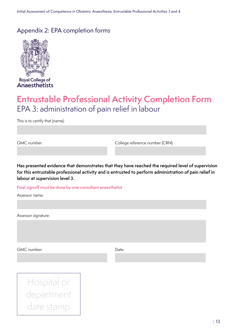#### <span id="page-12-0"></span>Appendix 2: EPA completion forms



Anaesthetists

### **Entrustable Professional Activity Completion Form** EPA 3: administration of pain relief in labour

This is to certify that (name):

GMC number: College reference number (CRN):

**Has presented evidence that demonstrates that they have reached the required level of supervision for this entrustable professional activity and is entrusted to perform administration of pain relief in labour at supervision level 3.**

#### **Final signoff must be done by one consultant anaesthetist**

Assessor name:

Assessor signature:

GMC number: Date: Date:

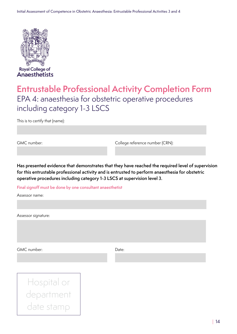

### **Entrustable Professional Activity Completion Form** EPA 4: anaesthesia for obstetric operative procedures including category 1-3 LSCS

This is to certify that (name):

GMC number: College reference number (CRN):

**Has presented evidence that demonstrates that they have reached the required level of supervision for this entrustable professional activity and is entrusted to perform anaesthesia for obstetric operative procedures including category 1-3 LSCS at supervision level 3.**

**Final signoff must be done by one consultant anaesthetist**

Assessor name:

Assessor signature:

GMC number: Date: Date: